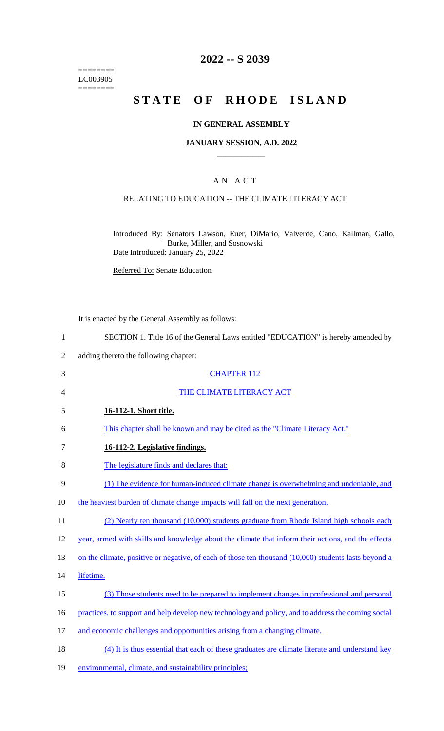======== LC003905 ========

# **2022 -- S 2039**

# **STATE OF RHODE ISLAND**

### **IN GENERAL ASSEMBLY**

### **JANUARY SESSION, A.D. 2022 \_\_\_\_\_\_\_\_\_\_\_\_**

### A N A C T

### RELATING TO EDUCATION -- THE CLIMATE LITERACY ACT

Introduced By: Senators Lawson, Euer, DiMario, Valverde, Cano, Kallman, Gallo, Burke, Miller, and Sosnowski Date Introduced: January 25, 2022

Referred To: Senate Education

It is enacted by the General Assembly as follows:

| 1              | SECTION 1. Title 16 of the General Laws entitled "EDUCATION" is hereby amended by     |
|----------------|---------------------------------------------------------------------------------------|
| 2              | adding thereto the following chapter:                                                 |
| 3              | <b>CHAPTER 112</b>                                                                    |
| $\overline{4}$ | THE CLIMATE LITERACY ACT                                                              |
| 5              | 16-112-1. Short title.                                                                |
| 6              | This chapter shall be known and may be cited as the "Climate Literacy Act."           |
|                | 16-112-2. Legislative findings.                                                       |
| 8              | The legislature finds and declares that:                                              |
| 9              | (1) The evidence for human-induced climate change is overwhelming and undeniable, and |
| 10             | the heaviest burden of climate change impacts will fall on the next generation.       |

- 11 (2) Nearly ten thousand (10,000) students graduate from Rhode Island high schools each
- 12 year, armed with skills and knowledge about the climate that inform their actions, and the effects
- 13 on the climate, positive or negative, of each of those ten thousand (10,000) students lasts beyond a
- 14 lifetime.
- 15 (3) Those students need to be prepared to implement changes in professional and personal
- 16 practices, to support and help develop new technology and policy, and to address the coming social
- 17 and economic challenges and opportunities arising from a changing climate.
- 18 (4) It is thus essential that each of these graduates are climate literate and understand key
- 19 environmental, climate, and sustainability principles;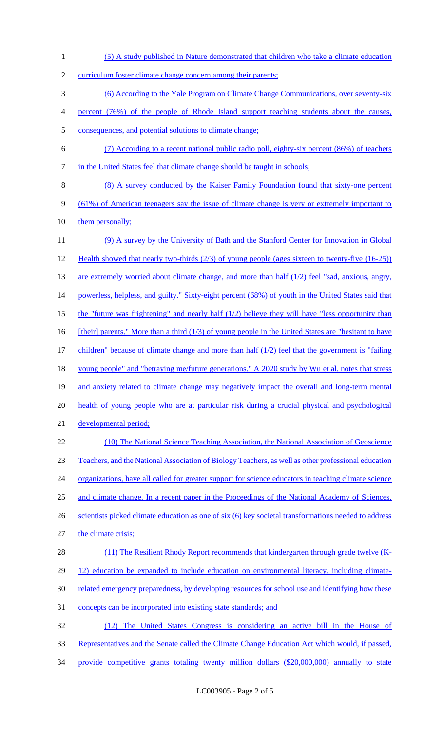1 (5) A study published in Nature demonstrated that children who take a climate education 2 curriculum foster climate change concern among their parents; 3 (6) According to the Yale Program on Climate Change Communications, over seventy-six 4 percent (76%) of the people of Rhode Island support teaching students about the causes, 5 consequences, and potential solutions to climate change; 6 (7) According to a recent national public radio poll, eighty-six percent (86%) of teachers 7 in the United States feel that climate change should be taught in schools; 8 (8) A survey conducted by the Kaiser Family Foundation found that sixty-one percent 9 (61%) of American teenagers say the issue of climate change is very or extremely important to 10 them personally; 11 (9) A survey by the University of Bath and the Stanford Center for Innovation in Global 12 Health showed that nearly two-thirds (2/3) of young people (ages sixteen to twenty-five (16-25)) 13 are extremely worried about climate change, and more than half (1/2) feel "sad, anxious, angry, 14 powerless, helpless, and guilty." Sixty-eight percent (68%) of youth in the United States said that 15 the "future was frightening" and nearly half (1/2) believe they will have "less opportunity than 16 [their] parents." More than a third (1/3) of young people in the United States are "hesitant to have 17 children" because of climate change and more than half (1/2) feel that the government is "failing 18 young people" and "betraying me/future generations." A 2020 study by Wu et al. notes that stress 19 and anxiety related to climate change may negatively impact the overall and long-term mental 20 health of young people who are at particular risk during a crucial physical and psychological 21 developmental period; 22 (10) The National Science Teaching Association, the National Association of Geoscience 23 Teachers, and the National Association of Biology Teachers, as well as other professional education 24 organizations, have all called for greater support for science educators in teaching climate science 25 and climate change. In a recent paper in the Proceedings of the National Academy of Sciences, 26 scientists picked climate education as one of six (6) key societal transformations needed to address 27 the climate crisis; 28 (11) The Resilient Rhody Report recommends that kindergarten through grade twelve (K-29 12) education be expanded to include education on environmental literacy, including climate-30 related emergency preparedness, by developing resources for school use and identifying how these 31 concepts can be incorporated into existing state standards; and 32 (12) The United States Congress is considering an active bill in the House of 33 Representatives and the Senate called the Climate Change Education Act which would, if passed, 34 provide competitive grants totaling twenty million dollars (\$20,000,000) annually to state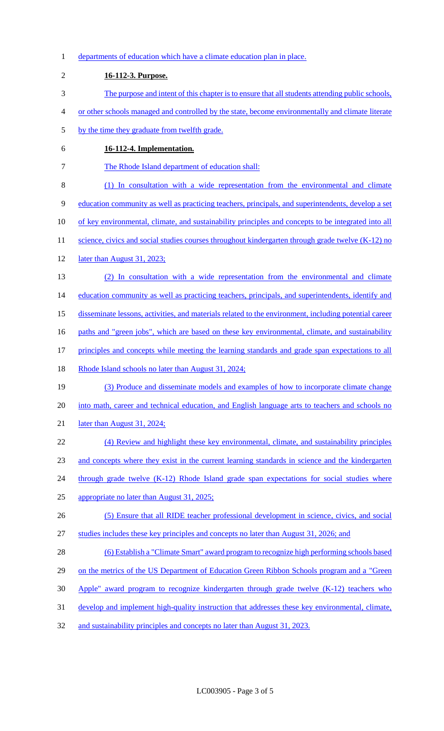1 departments of education which have a climate education plan in place. 2 **16-112-3. Purpose.**  3 The purpose and intent of this chapter is to ensure that all students attending public schools, 4 or other schools managed and controlled by the state, become environmentally and climate literate 5 by the time they graduate from twelfth grade. 6 **16-112-4. Implementation.**  7 The Rhode Island department of education shall: 8 (1) In consultation with a wide representation from the environmental and climate 9 education community as well as practicing teachers, principals, and superintendents, develop a set 10 of key environmental, climate, and sustainability principles and concepts to be integrated into all 11 science, civics and social studies courses throughout kindergarten through grade twelve (K-12) no 12 **later than August 31, 2023;** 13 (2) In consultation with a wide representation from the environmental and climate 14 education community as well as practicing teachers, principals, and superintendents, identify and 15 disseminate lessons, activities, and materials related to the environment, including potential career 16 paths and "green jobs", which are based on these key environmental, climate, and sustainability 17 principles and concepts while meeting the learning standards and grade span expectations to all 18 Rhode Island schools no later than August 31, 2024; 19 (3) Produce and disseminate models and examples of how to incorporate climate change 20 into math, career and technical education, and English language arts to teachers and schools no 21 later than August 31, 2024; 22 (4) Review and highlight these key environmental, climate, and sustainability principles 23 and concepts where they exist in the current learning standards in science and the kindergarten 24 through grade twelve (K-12) Rhode Island grade span expectations for social studies where 25 appropriate no later than August 31, 2025; 26 (5) Ensure that all RIDE teacher professional development in science, civics, and social 27 studies includes these key principles and concepts no later than August 31, 2026; and 28 (6) Establish a "Climate Smart" award program to recognize high performing schools based 29 on the metrics of the US Department of Education Green Ribbon Schools program and a "Green" 30 Apple" award program to recognize kindergarten through grade twelve (K-12) teachers who 31 develop and implement high-quality instruction that addresses these key environmental, climate, 32 and sustainability principles and concepts no later than August 31, 2023.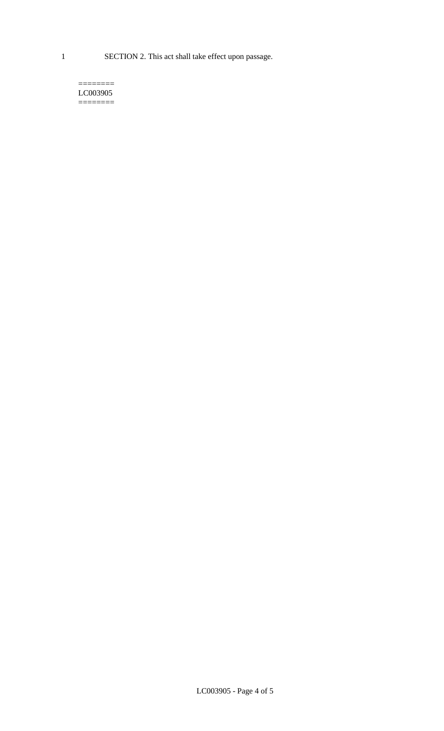1 SECTION 2. This act shall take effect upon passage.

#### $=$ LC003905 ========